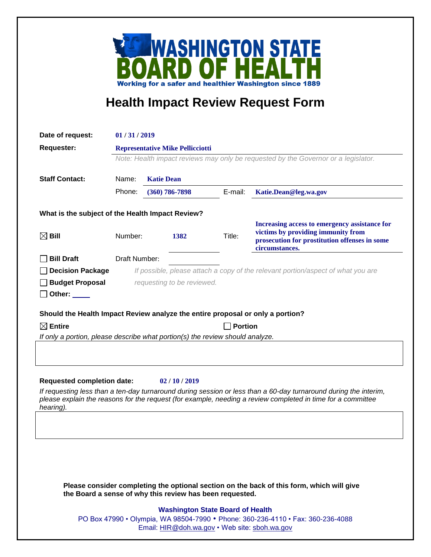

## **Health Impact Review Request Form**

| Date of request:                                                                                                                                                    | 01/31/2019                                                                                                                    |                                                                                  |                    |         |                                                                                                                                                        |  |
|---------------------------------------------------------------------------------------------------------------------------------------------------------------------|-------------------------------------------------------------------------------------------------------------------------------|----------------------------------------------------------------------------------|--------------------|---------|--------------------------------------------------------------------------------------------------------------------------------------------------------|--|
| <b>Requester:</b>                                                                                                                                                   | <b>Representative Mike Pellicciotti</b><br>Note: Health impact reviews may only be requested by the Governor or a legislator. |                                                                                  |                    |         |                                                                                                                                                        |  |
|                                                                                                                                                                     |                                                                                                                               |                                                                                  |                    |         |                                                                                                                                                        |  |
|                                                                                                                                                                     |                                                                                                                               |                                                                                  |                    |         |                                                                                                                                                        |  |
| <b>Staff Contact:</b>                                                                                                                                               | Name:<br><b>Katie Dean</b>                                                                                                    |                                                                                  |                    |         |                                                                                                                                                        |  |
|                                                                                                                                                                     | Phone:                                                                                                                        |                                                                                  | $(360) 786 - 7898$ | E-mail: | Katie.Dean@leg.wa.gov                                                                                                                                  |  |
| What is the subject of the Health Impact Review?                                                                                                                    |                                                                                                                               |                                                                                  |                    |         |                                                                                                                                                        |  |
| $\boxtimes$ Bill                                                                                                                                                    | Number:                                                                                                                       |                                                                                  | 1382               | Title:  | Increasing access to emergency assistance for<br>victims by providing immunity from<br>prosecution for prostitution offenses in some<br>circumstances. |  |
| <b>Bill Draft</b>                                                                                                                                                   | Draft Number:                                                                                                                 |                                                                                  |                    |         |                                                                                                                                                        |  |
| <b>Decision Package</b>                                                                                                                                             |                                                                                                                               | If possible, please attach a copy of the relevant portion/aspect of what you are |                    |         |                                                                                                                                                        |  |
| <b>Budget Proposal</b>                                                                                                                                              | requesting to be reviewed.                                                                                                    |                                                                                  |                    |         |                                                                                                                                                        |  |
| Other: $\_\_$                                                                                                                                                       |                                                                                                                               |                                                                                  |                    |         |                                                                                                                                                        |  |
|                                                                                                                                                                     |                                                                                                                               |                                                                                  |                    |         |                                                                                                                                                        |  |
| Should the Health Impact Review analyze the entire proposal or only a portion?                                                                                      |                                                                                                                               |                                                                                  |                    |         |                                                                                                                                                        |  |
| $\boxtimes$ Entire<br><b>Portion</b>                                                                                                                                |                                                                                                                               |                                                                                  |                    |         |                                                                                                                                                        |  |
| If only a portion, please describe what portion(s) the review should analyze.                                                                                       |                                                                                                                               |                                                                                  |                    |         |                                                                                                                                                        |  |
|                                                                                                                                                                     |                                                                                                                               |                                                                                  |                    |         |                                                                                                                                                        |  |
|                                                                                                                                                                     |                                                                                                                               |                                                                                  |                    |         |                                                                                                                                                        |  |
|                                                                                                                                                                     |                                                                                                                               |                                                                                  |                    |         |                                                                                                                                                        |  |
| <b>Requested completion date:</b><br>02/10/2019<br>If requesting less than a ten-day turnaround during session or less than a 60-day turnaround during the interim, |                                                                                                                               |                                                                                  |                    |         |                                                                                                                                                        |  |
|                                                                                                                                                                     |                                                                                                                               |                                                                                  |                    |         | please explain the reasons for the request (for example, needing a review completed in time for a committee                                            |  |
| hearing).                                                                                                                                                           |                                                                                                                               |                                                                                  |                    |         |                                                                                                                                                        |  |
|                                                                                                                                                                     |                                                                                                                               |                                                                                  |                    |         |                                                                                                                                                        |  |
|                                                                                                                                                                     |                                                                                                                               |                                                                                  |                    |         |                                                                                                                                                        |  |
|                                                                                                                                                                     |                                                                                                                               |                                                                                  |                    |         |                                                                                                                                                        |  |
|                                                                                                                                                                     |                                                                                                                               |                                                                                  |                    |         |                                                                                                                                                        |  |
|                                                                                                                                                                     |                                                                                                                               |                                                                                  |                    |         |                                                                                                                                                        |  |
|                                                                                                                                                                     |                                                                                                                               |                                                                                  |                    |         |                                                                                                                                                        |  |
| Please consider completing the optional section on the back of this form, which will give<br>the Board a sense of why this review has been requested.               |                                                                                                                               |                                                                                  |                    |         |                                                                                                                                                        |  |
| <b>Washington State Board of Health</b>                                                                                                                             |                                                                                                                               |                                                                                  |                    |         |                                                                                                                                                        |  |
|                                                                                                                                                                     | PO Box 47990 • Olympia, WA 98504-7990 • Phone: 360-236-4110 • Fax: 360-236-4088                                               |                                                                                  |                    |         |                                                                                                                                                        |  |
|                                                                                                                                                                     | Email: HIR@doh.wa.gov • Web site: sboh.wa.gov                                                                                 |                                                                                  |                    |         |                                                                                                                                                        |  |